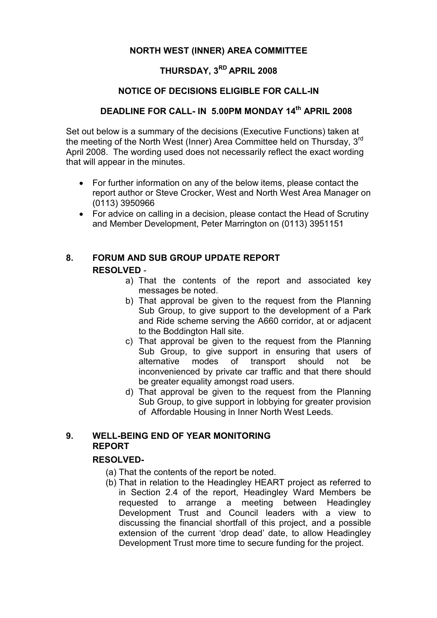#### NORTH WEST (INNER) AREA COMMITTEE

## THURSDAY, 3<sup>RD</sup> APRIL 2008

#### NOTICE OF DECISIONS ELIGIBLE FOR CALL-IN

## DEADLINE FOR CALL- IN 5.00PM MONDAY 14<sup>th</sup> APRIL 2008

Set out below is a summary of the decisions (Executive Functions) taken at the meeting of the North West (Inner) Area Committee held on Thursday, 3<sup>rd</sup> April 2008. The wording used does not necessarily reflect the exact wording that will appear in the minutes.

- For further information on any of the below items, please contact the report author or Steve Crocker, West and North West Area Manager on (0113) 3950966
- For advice on calling in a decision, please contact the Head of Scrutiny and Member Development, Peter Marrington on (0113) 3951151

#### 8. FORUM AND SUB GROUP UPDATE REPORT RESOLVED -

- a) That the contents of the report and associated key messages be noted.
- b) That approval be given to the request from the Planning Sub Group, to give support to the development of a Park and Ride scheme serving the A660 corridor, at or adjacent to the Boddington Hall site.
- c) That approval be given to the request from the Planning Sub Group, to give support in ensuring that users of alternative modes of transport should not be inconvenienced by private car traffic and that there should be greater equality amongst road users.
- d) That approval be given to the request from the Planning Sub Group, to give support in lobbying for greater provision of Affordable Housing in Inner North West Leeds.

## 9. WELL-BEING END OF YEAR MONITORING REPORT

### RESOLVED-

- (a) That the contents of the report be noted.
- (b) That in relation to the Headingley HEART project as referred to in Section 2.4 of the report, Headingley Ward Members be requested to arrange a meeting between Headingley Development Trust and Council leaders with a view to discussing the financial shortfall of this project, and a possible extension of the current 'drop dead' date, to allow Headingley Development Trust more time to secure funding for the project.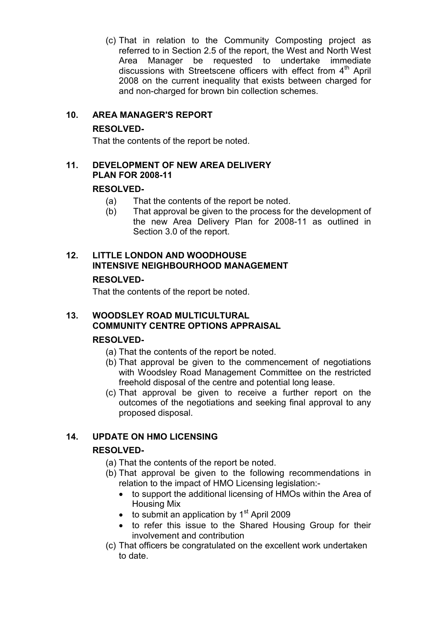(c) That in relation to the Community Composting project as referred to in Section 2.5 of the report, the West and North West Area Manager be requested to undertake immediate discussions with Streetscene officers with effect from  $4<sup>th</sup>$  April 2008 on the current inequality that exists between charged for and non-charged for brown bin collection schemes.

## 10. AREA MANAGER'S REPORT

## RESOLVED-

That the contents of the report be noted.

## 11. DEVELOPMENT OF NEW AREA DELIVERY PLAN FOR 2008-11

## RESOLVED-

- (a) That the contents of the report be noted.
- (b) That approval be given to the process for the development of the new Area Delivery Plan for 2008-11 as outlined in Section 3.0 of the report.

# 12. LITTLE LONDON AND WOODHOUSE INTENSIVE NEIGHBOURHOOD MANAGEMENT

#### RESOLVED-

That the contents of the report be noted.

## 13. WOODSLEY ROAD MULTICULTURAL COMMUNITY CENTRE OPTIONS APPRAISAL

### RESOLVED-

- (a) That the contents of the report be noted.
- (b) That approval be given to the commencement of negotiations with Woodsley Road Management Committee on the restricted freehold disposal of the centre and potential long lease.
- (c) That approval be given to receive a further report on the outcomes of the negotiations and seeking final approval to any proposed disposal.

## 14. UPDATE ON HMO LICENSING

### RESOLVED-

- (a) That the contents of the report be noted.
- (b) That approval be given to the following recommendations in relation to the impact of HMO Licensing legislation:-
	- to support the additional licensing of HMOs within the Area of Housing Mix
	- $\bullet$  to submit an application by 1<sup>st</sup> April 2009
	- to refer this issue to the Shared Housing Group for their involvement and contribution
- (c) That officers be congratulated on the excellent work undertaken to date.